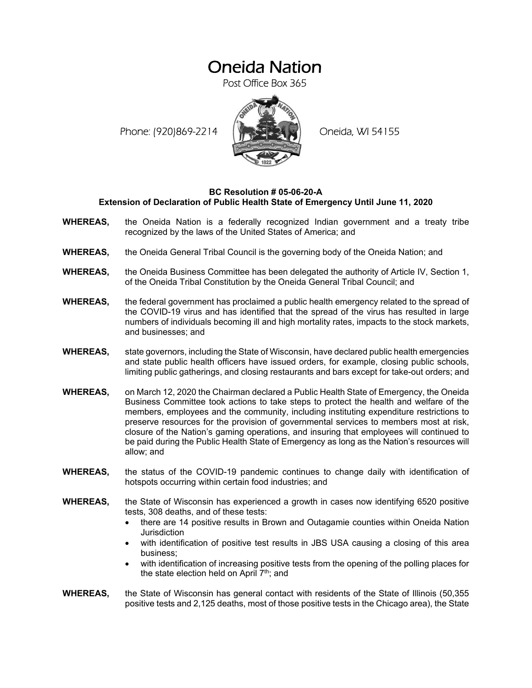## Oneida Nation

Post Office Box 365

Phone: (920)869-2214 (XXXXXXX) Oneida, WI 54155



## **BC Resolution # 05-06-20-A Extension of Declaration of Public Health State of Emergency Until June 11, 2020**

- **WHEREAS,** the Oneida Nation is a federally recognized Indian government and a treaty tribe recognized by the laws of the United States of America; and
- **WHEREAS,** the Oneida General Tribal Council is the governing body of the Oneida Nation; and
- **WHEREAS,** the Oneida Business Committee has been delegated the authority of Article IV, Section 1, of the Oneida Tribal Constitution by the Oneida General Tribal Council; and
- **WHEREAS,** the federal government has proclaimed a public health emergency related to the spread of the COVID-19 virus and has identified that the spread of the virus has resulted in large numbers of individuals becoming ill and high mortality rates, impacts to the stock markets, and businesses; and
- **WHEREAS,** state governors, including the State of Wisconsin, have declared public health emergencies and state public health officers have issued orders, for example, closing public schools, limiting public gatherings, and closing restaurants and bars except for take-out orders; and
- **WHEREAS,** on March 12, 2020 the Chairman declared a Public Health State of Emergency, the Oneida Business Committee took actions to take steps to protect the health and welfare of the members, employees and the community, including instituting expenditure restrictions to preserve resources for the provision of governmental services to members most at risk, closure of the Nation's gaming operations, and insuring that employees will continued to be paid during the Public Health State of Emergency as long as the Nation's resources will allow; and
- **WHEREAS,** the status of the COVID-19 pandemic continues to change daily with identification of hotspots occurring within certain food industries; and
- **WHEREAS,** the State of Wisconsin has experienced a growth in cases now identifying 6520 positive tests, 308 deaths, and of these tests:
	- there are 14 positive results in Brown and Outagamie counties within Oneida Nation **Jurisdiction**
	- with identification of positive test results in JBS USA causing a closing of this area business;
	- with identification of increasing positive tests from the opening of the polling places for the state election held on April  $7<sup>th</sup>$ ; and
- **WHEREAS,** the State of Wisconsin has general contact with residents of the State of Illinois (50,355 positive tests and 2,125 deaths, most of those positive tests in the Chicago area), the State